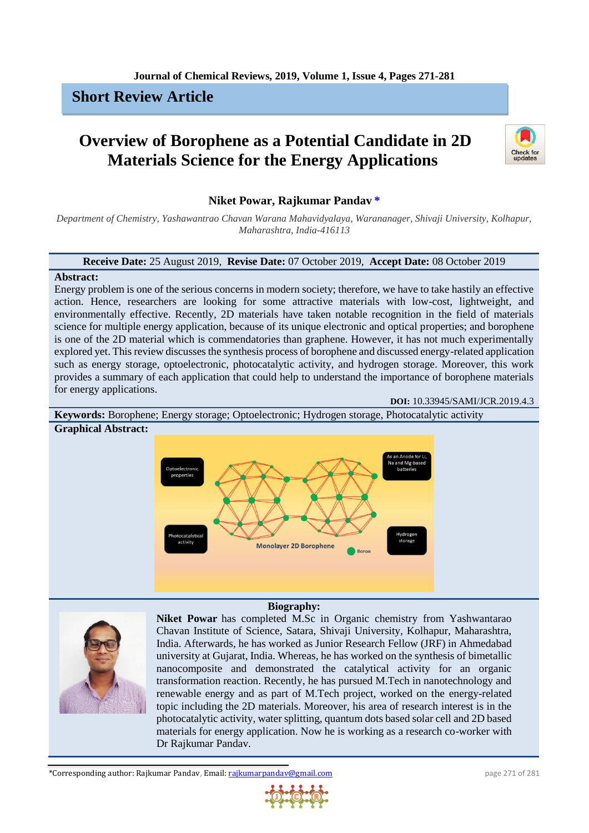# **Short Review Article**

# **Overview of Borophene as a Potential Candidate in 2D Materials Science for the Energy Applications**



# **Niket Powar, Rajkumar Pandav [\\*](#page-0-0)**

*Department of Chemistry, Yashawantrao Chavan Warana Mahavidyalaya, Warananager, Shivaji University, Kolhapur, Maharashtra, India-416113*

#### **Receive Date:** 25 August 2019, **Revise Date:** 07 October 2019, **Accept Date:** 08 October 2019

#### **Abstract:**

Energy problem is one of the serious concerns in modern society; therefore, we have to take hastily an effective action. Hence, researchers are looking for some attractive materials with low-cost, lightweight, and environmentally effective. Recently, 2D materials have taken notable recognition in the field of materials science for multiple energy application, because of its unique electronic and optical properties; and borophene is one of the 2D material which is commendatories than graphene. However, it has not much experimentally explored yet. This review discusses the synthesis process of borophene and discussed energy-related application such as energy storage, optoelectronic, photocatalytic activity, and hydrogen storage. Moreover, this work provides a summary of each application that could help to understand the importance of borophene materials for energy applications.

**DOI:** 10.33945/SAMI/JCR.2019.4.3



#### **Biography:**

<span id="page-0-0"></span>

**Niket Powar** has completed M.Sc in Organic chemistry from Yashwantarao Chavan Institute of Science, Satara, Shivaji University, Kolhapur, Maharashtra, India. Afterwards, he has worked as Junior Research Fellow (JRF) in Ahmedabad university at Gujarat, India. Whereas, he has worked on the synthesis of bimetallic nanocomposite and demonstrated the catalytical activity for an organic transformation reaction. Recently, he has pursued M.Tech in nanotechnology and renewable energy and as part of M.Tech project, worked on the energy-related topic including the 2D materials. Moreover, his area of research interest is in the photocatalytic activity, water splitting, quantum dots based solar cell and 2D based materials for energy application. Now he is working as a research co-worker with Dr Rajkumar Pandav.

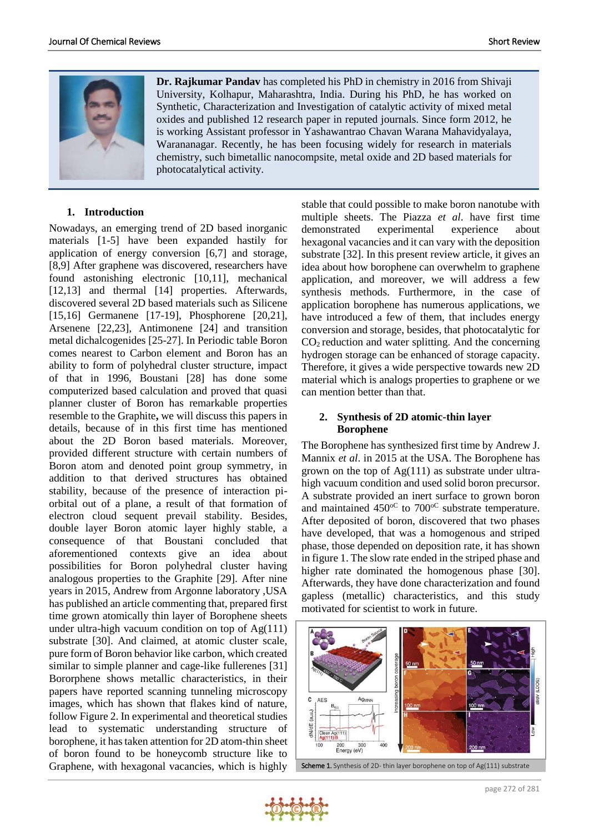

**Dr. Rajkumar Pandav** has completed his PhD in chemistry in 2016 from Shivaji University, Kolhapur, Maharashtra, India. During his PhD, he has worked on Synthetic, Characterization and Investigation of catalytic activity of mixed metal oxides and published 12 research paper in reputed journals. Since form 2012, he is working Assistant professor in Yashawantrao Chavan Warana Mahavidyalaya, Warananagar. Recently, he has been focusing widely for research in materials chemistry, such bimetallic nanocompsite, metal oxide and 2D based materials for photocatalytical activity.

#### **1. Introduction**

Nowadays, an emerging trend of 2D based inorganic materials [1-5] have been expanded hastily for application of energy conversion [6,7] and storage, [8,9] After graphene was discovered, researchers have found astonishing electronic [10,11], mechanical [12,13] and thermal [14] properties. Afterwards, discovered several 2D based materials such as Silicene [15,16] Germanene [17-19], Phosphorene [20,21], Arsenene [22,23], Antimonene [24] and transition metal dichalcogenides [25-27]. In Periodic table Boron comes nearest to Carbon element and Boron has an ability to form of polyhedral cluster structure, impact of that in 1996, Boustani [28] has done some computerized based calculation and proved that quasi planner cluster of Boron has remarkable properties resemble to the Graphite**,** we will discuss this papers in details, because of in this first time has mentioned about the 2D Boron based materials. Moreover, provided different structure with certain numbers of Boron atom and denoted point group symmetry, in addition to that derived structures has obtained stability, because of the presence of interaction piorbital out of a plane, a result of that formation of electron cloud sequent prevail stability. Besides, double layer Boron atomic layer highly stable, a consequence of that Boustani concluded that aforementioned contexts give an idea about possibilities for Boron polyhedral cluster having analogous properties to the Graphite [29]. After nine years in 2015, Andrew from Argonne laboratory ,USA has published an article commenting that, prepared first time grown atomically thin layer of Borophene sheets under ultra-high vacuum condition on top of Ag(111) substrate [30]. And claimed, at atomic cluster scale, pure form of Boron behavior like carbon, which created similar to simple planner and cage-like fullerenes [31] Bororphene shows metallic characteristics, in their papers have reported scanning tunneling microscopy images, which has shown that flakes kind of nature, follow Figure 2. In experimental and theoretical studies lead to systematic understanding structure of borophene, it has taken attention for 2D atom-thin sheet of boron found to be honeycomb structure like to Graphene, with hexagonal vacancies, which is highly

stable that could possible to make boron nanotube with multiple sheets. The Piazza *et al*. have first time demonstrated experimental experience about hexagonal vacancies and it can vary with the deposition substrate [32]. In this present review article, it gives an idea about how borophene can overwhelm to graphene application, and moreover, we will address a few synthesis methods. Furthermore, in the case of application borophene has numerous applications, we have introduced a few of them, that includes energy conversion and storage, besides, that photocatalytic for  $CO<sub>2</sub>$  reduction and water splitting. And the concerning hydrogen storage can be enhanced of storage capacity. Therefore, it gives a wide perspective towards new 2D material which is analogs properties to graphene or we can mention better than that.

#### **2. Synthesis of 2D atomic-thin layer Borophene**

The Borophene has synthesized first time by Andrew J. Mannix *et al*. in 2015 at the USA. The Borophene has grown on the top of  $Ag(111)$  as substrate under ultrahigh vacuum condition and used solid boron precursor. A substrate provided an inert surface to grown boron and maintained  $450^{\circ}$  to  $700^{\circ}$  substrate temperature. After deposited of boron, discovered that two phases have developed, that was a homogenous and striped phase, those depended on deposition rate, it has shown in figure 1. The slow rate ended in the striped phase and higher rate dominated the homogenous phase [30]. Afterwards, they have done characterization and found gapless (metallic) characteristics, and this study motivated for scientist to work in future.



Scheme 1. Synthesis of 2D- thin layer borophene on top of Ag(111) substrate

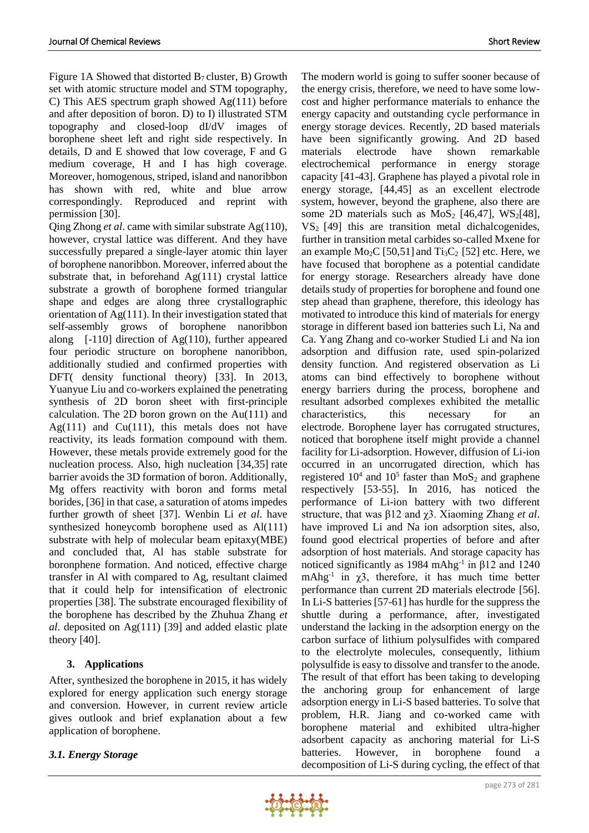Figure 1A Showed that distorted  $B_7$  cluster, B) Growth set with atomic structure model and STM topography, C) This AES spectrum graph showed Ag(111) before and after deposition of boron. D) to I) illustrated STM topography and closed-loop dI/dV images of borophene sheet left and right side respectively. In details, D and E showed that low coverage, F and G medium coverage, H and I has high coverage. Moreover, homogenous, striped, island and nanoribbon has shown with red, white and blue arrow correspondingly. Reproduced and reprint with permission [30].

Qing Zhong *et al*. came with similar substrate Ag(110), however, crystal lattice was different. And they have successfully prepared a single-layer atomic thin layer of borophene nanoribbon. Moreover, inferred about the substrate that, in beforehand  $Ag(111)$  crystal lattice substrate a growth of borophene formed triangular shape and edges are along three crystallographic orientation of Ag(111). In their investigation stated that self-assembly grows of borophene nanoribbon along [-110] direction of Ag(110), further appeared four periodic structure on borophene nanoribbon, additionally studied and confirmed properties with DFT( density functional theory) [33]. In 2013, Yuanyue Liu and co-workers explained the penetrating synthesis of 2D boron sheet with first-principle calculation. The 2D boron grown on the Au(111) and Ag(111) and Cu(111), this metals does not have reactivity, its leads formation compound with them. However, these metals provide extremely good for the nucleation process. Also, high nucleation [34,35] rate barrier avoids the 3D formation of boron. Additionally, Mg offers reactivity with boron and forms metal borides, [36] in that case, a saturation of atoms impedes further growth of sheet [37]. Wenbin Li *et al*. have synthesized honeycomb borophene used as Al(111) substrate with help of molecular beam epitaxy(MBE) and concluded that, Al has stable substrate for boronphene formation. And noticed, effective charge transfer in Al with compared to Ag, resultant claimed that it could help for intensification of electronic properties [38]. The substrate encouraged flexibility of the borophene has described by the Zhuhua Zhang *et al*. deposited on Ag(111) [39] and added elastic plate theory [40].

# **3. Applications**

After, synthesized the borophene in 2015, it has widely explored for energy application such energy storage and conversion. However, in current review article gives outlook and brief explanation about a few application of borophene.

# *3.1. Energy Storage*

The modern world is going to suffer sooner because of the energy crisis, therefore, we need to have some lowcost and higher performance materials to enhance the energy capacity and outstanding cycle performance in energy storage devices. Recently, 2D based materials have been significantly growing. And 2D based materials electrode have shown remarkable electrochemical performance in energy storage capacity [41-43]. Graphene has played a pivotal role in energy storage, [44,45] as an excellent electrode system, however, beyond the graphene, also there are some 2D materials such as  $MoS<sub>2</sub>$  [46,47],  $WS<sub>2</sub>[48]$ ,  $VS<sub>2</sub>$  [49] this are transition metal dichalcogenides, further in transition metal carbides so-called Mxene for an example  $Mo_2C$  [50,51] and  $Ti_3C_2$  [52] etc. Here, we have focused that borophene as a potential candidate for energy storage. Researchers already have done details study of properties for borophene and found one step ahead than graphene, therefore, this ideology has motivated to introduce this kind of materials for energy storage in different based ion batteries such Li, Na and Ca. Yang Zhang and co-worker Studied Li and Na ion adsorption and diffusion rate, used spin-polarized density function. And registered observation as Li atoms can bind effectively to borophene without energy barriers during the process, borophene and resultant adsorbed complexes exhibited the metallic characteristics, this necessary for an electrode. Borophene layer has corrugated structures, noticed that borophene itself might provide a channel facility for Li-adsorption. However, diffusion of Li-ion occurred in an uncorrugated direction, which has registered  $10^4$  and  $10^5$  faster than MoS<sub>2</sub> and graphene respectively [53-55]. In 2016, has noticed the performance of Li-ion battery with two different structure, that was β12 and χ3. Xiaoming Zhang *et al*. have improved Li and Na ion adsorption sites, also, found good electrical properties of before and after adsorption of host materials. And storage capacity has noticed significantly as 1984 mAhg<sup>-1</sup> in  $β12$  and 1240 mAhg<sup>-1</sup> in  $\chi$ 3, therefore, it has much time better performance than current 2D materials electrode [56]. In Li-S batteries [57-61] has hurdle for the suppress the shuttle during a performance, after, investigated understand the lacking in the adsorption energy on the carbon surface of lithium polysulfides with compared to the electrolyte molecules, consequently, lithium polysulfide is easy to dissolve and transfer to the anode. The result of that effort has been taking to developing the anchoring group for enhancement of large adsorption energy in Li-S based batteries. To solve that problem, H.R. Jiang and co-worked came with borophene material and exhibited ultra-higher adsorbent capacity as anchoring material for Li-S batteries. However, in borophene found a decomposition of Li-S during cycling, the effect of that

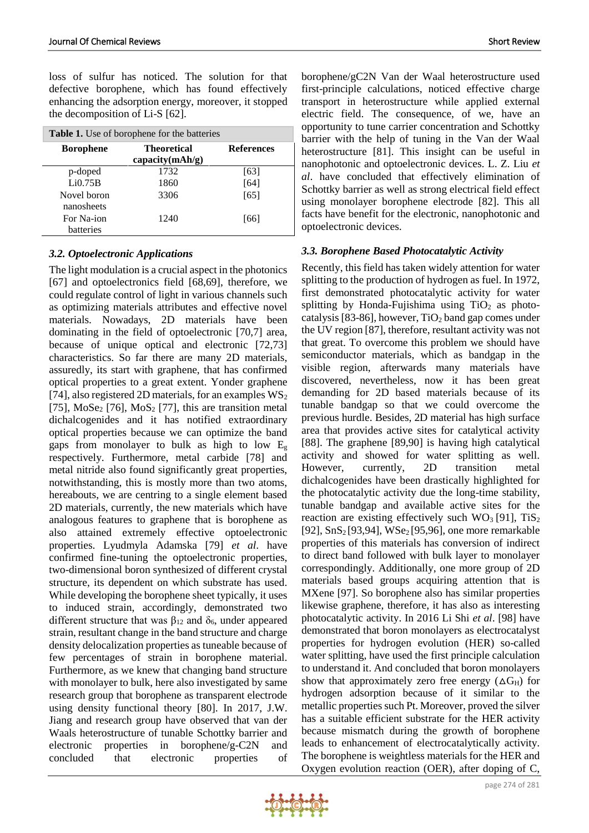loss of sulfur has noticed. The solution for that defective borophene, which has found effectively enhancing the adsorption energy, moreover, it stopped the decomposition of Li-S [62].

| <b>Table 1.</b> Use of borophene for the batteries |                                          |                   |
|----------------------------------------------------|------------------------------------------|-------------------|
| <b>Borophene</b>                                   | <b>Theoretical</b><br>capacity $(mAh/g)$ | <b>References</b> |
| p-doped                                            | 1732                                     | [63]              |
| Li0.75B                                            | 1860                                     | [64]              |
| Novel boron                                        | 3306                                     | [65]              |
| nanosheets                                         |                                          |                   |
| For Na-ion                                         | 1240                                     | [66]              |
| batteries                                          |                                          |                   |

#### *3.2. Optoelectronic Applications*

The light modulation is a crucial aspect in the photonics [67] and optoelectronics field [68,69], therefore, we could regulate control of light in various channels such as optimizing materials attributes and effective novel materials. Nowadays, 2D materials have been dominating in the field of optoelectronic [70,7] area, because of unique optical and electronic [72,73] characteristics. So far there are many 2D materials, assuredly, its start with graphene, that has confirmed optical properties to a great extent. Yonder graphene [74], also registered 2D materials, for an examples  $WS_2$ [75],  $MoSe<sub>2</sub>$  [76],  $MoS<sub>2</sub>$  [77], this are transition metal dichalcogenides and it has notified extraordinary optical properties because we can optimize the band gaps from monolayer to bulk as high to low  $E<sub>g</sub>$ respectively. Furthermore, metal carbide [78] and metal nitride also found significantly great properties, notwithstanding, this is mostly more than two atoms, hereabouts, we are centring to a single element based 2D materials, currently, the new materials which have analogous features to graphene that is borophene as also attained extremely effective optoelectronic properties. Lyudmyla Adamska [79] *et al*. have confirmed fine-tuning the optoelectronic properties, two-dimensional boron synthesized of different crystal structure, its dependent on which substrate has used. While developing the borophene sheet typically, it uses to induced strain, accordingly, demonstrated two different structure that was  $β_{12}$  and  $δ_6$ , under appeared strain, resultant change in the band structure and charge density delocalization properties as tuneable because of few percentages of strain in borophene material. Furthermore, as we knew that changing band structure with monolayer to bulk, here also investigated by same research group that borophene as transparent electrode using density functional theory [80]. In 2017, J.W. Jiang and research group have observed that van der Waals heterostructure of tunable Schottky barrier and electronic properties in borophene/g-C2N and concluded that electronic properties of

borophene/gC2N Van der Waal heterostructure used first-principle calculations, noticed effective charge transport in heterostructure while applied external electric field. The consequence, of we, have an opportunity to tune carrier concentration and Schottky barrier with the help of tuning in the Van der Waal heterostructure [81]. This insight can be useful in nanophotonic and optoelectronic devices. L. Z. Liu *et al*. have concluded that effectively elimination of Schottky barrier as well as strong electrical field effect using monolayer borophene electrode [82]. This all facts have benefit for the electronic, nanophotonic and optoelectronic devices.

#### *3.3. Borophene Based Photocatalytic Activity*

Recently, this field has taken widely attention for water splitting to the production of hydrogen as fuel. In 1972, first demonstrated photocatalytic activity for water splitting by Honda-Fujishima using  $TiO<sub>2</sub>$  as photocatalysis [83-86], however,  $TiO<sub>2</sub>$  band gap comes under the UV region [87], therefore, resultant activity was not that great. To overcome this problem we should have semiconductor materials, which as bandgap in the visible region, afterwards many materials have discovered, nevertheless, now it has been great demanding for 2D based materials because of its tunable bandgap so that we could overcome the previous hurdle. Besides, 2D material has high surface area that provides active sites for catalytical activity [88]. The graphene [89,90] is having high catalytical activity and showed for water splitting as well. However, currently, 2D transition metal dichalcogenides have been drastically highlighted for the photocatalytic activity due the long-time stability, tunable bandgap and available active sites for the reaction are existing effectively such  $WO_3$  [91], TiS<sub>2</sub> [92],  $SnS_2[93,94]$ ,  $WSe_2[95,96]$ , one more remarkable properties of this materials has conversion of indirect to direct band followed with bulk layer to monolayer correspondingly. Additionally, one more group of 2D materials based groups acquiring attention that is MXene [97]. So borophene also has similar properties likewise graphene, therefore, it has also as interesting photocatalytic activity. In 2016 Li Shi *et al*. [98] have demonstrated that boron monolayers as electrocatalyst properties for hydrogen evolution (HER) so-called water splitting, have used the first principle calculation to understand it. And concluded that boron monolayers show that approximately zero free energy  $(\Delta G_H)$  for hydrogen adsorption because of it similar to the metallic properties such Pt. Moreover, proved the silver has a suitable efficient substrate for the HER activity because mismatch during the growth of borophene leads to enhancement of electrocatalytically activity. The borophene is weightless materials for the HER and Oxygen evolution reaction (OER), after doping of C,

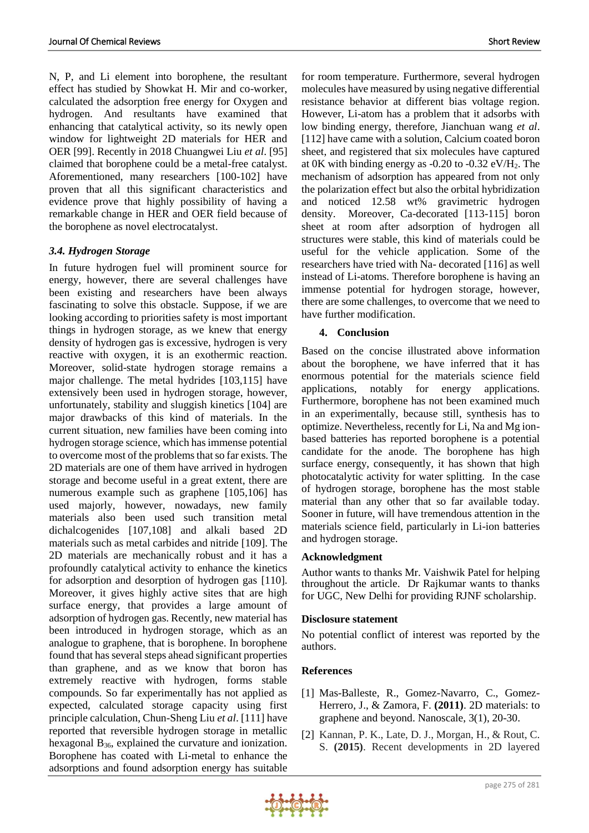N, P, and Li element into borophene, the resultant effect has studied by Showkat H. Mir and co-worker, calculated the adsorption free energy for Oxygen and hydrogen. And resultants have examined that enhancing that catalytical activity, so its newly open window for lightweight 2D materials for HER and OER [99]. Recently in 2018 Chuangwei Liu *et al*. [95] claimed that borophene could be a metal-free catalyst. Aforementioned, many researchers [100-102] have proven that all this significant characteristics and evidence prove that highly possibility of having a remarkable change in HER and OER field because of the borophene as novel electrocatalyst.

# *3.4. Hydrogen Storage*

In future hydrogen fuel will prominent source for energy, however, there are several challenges have been existing and researchers have been always fascinating to solve this obstacle. Suppose, if we are looking according to priorities safety is most important things in hydrogen storage, as we knew that energy density of hydrogen gas is excessive, hydrogen is very reactive with oxygen, it is an exothermic reaction. Moreover, solid-state hydrogen storage remains a major challenge. The metal hydrides [103,115] have extensively been used in hydrogen storage, however, unfortunately, stability and sluggish kinetics [104] are major drawbacks of this kind of materials. In the current situation, new families have been coming into hydrogen storage science, which has immense potential to overcome most of the problems that so far exists. The 2D materials are one of them have arrived in hydrogen storage and become useful in a great extent, there are numerous example such as graphene [105,106] has used majorly, however, nowadays, new family materials also been used such transition metal dichalcogenides [107,108] and alkali based 2D materials such as metal carbides and nitride [109]. The 2D materials are mechanically robust and it has a profoundly catalytical activity to enhance the kinetics for adsorption and desorption of hydrogen gas [110]. Moreover, it gives highly active sites that are high surface energy, that provides a large amount of adsorption of hydrogen gas. Recently, new material has been introduced in hydrogen storage, which as an analogue to graphene, that is borophene. In borophene found that has several steps ahead significant properties than graphene, and as we know that boron has extremely reactive with hydrogen, forms stable compounds. So far experimentally has not applied as expected, calculated storage capacity using first principle calculation, Chun-Sheng Liu *et al*. [111] have reported that reversible hydrogen storage in metallic hexagonal  $B_{36}$ , explained the curvature and ionization. Borophene has coated with Li-metal to enhance the adsorptions and found adsorption energy has suitable

for room temperature. Furthermore, several hydrogen molecules have measured by using negative differential resistance behavior at different bias voltage region. However, Li-atom has a problem that it adsorbs with low binding energy, therefore, Jianchuan wang *et al*. [112] have came with a solution, Calcium coated boron sheet, and registered that six molecules have captured at 0K with binding energy as  $-0.20$  to  $-0.32$  eV/H<sub>2</sub>. The mechanism of adsorption has appeared from not only the polarization effect but also the orbital hybridization and noticed 12.58 wt% gravimetric hydrogen density. Moreover, Ca-decorated [113-115] boron sheet at room after adsorption of hydrogen all structures were stable, this kind of materials could be useful for the vehicle application. Some of the researchers have tried with Na- decorated [116] as well instead of Li-atoms. Therefore borophene is having an immense potential for hydrogen storage, however, there are some challenges, to overcome that we need to have further modification.

# **4. Conclusion**

Based on the concise illustrated above information about the borophene, we have inferred that it has enormous potential for the materials science field applications, notably for energy applications. Furthermore, borophene has not been examined much in an experimentally, because still, synthesis has to optimize. Nevertheless, recently for Li, Na and Mg ionbased batteries has reported borophene is a potential candidate for the anode. The borophene has high surface energy, consequently, it has shown that high photocatalytic activity for water splitting. In the case of hydrogen storage, borophene has the most stable material than any other that so far available today. Sooner in future, will have tremendous attention in the materials science field, particularly in Li-ion batteries and hydrogen storage.

# **Acknowledgment**

Author wants to thanks Mr. Vaishwik Patel for helping throughout the article. Dr Rajkumar wants to thanks for UGC, New Delhi for providing RJNF scholarship.

# **Disclosure statement**

No potential conflict of interest was reported by the authors.

# **References**

- [1] Mas-Balleste, R., Gomez-Navarro, C., Gomez-Herrero, J., & Zamora, F. **(2011)**. 2D materials: to graphene and beyond. Nanoscale, 3(1), 20-30.
- [2] Kannan, P. K., Late, D. J., Morgan, H., & Rout, C. S. **(2015)**. Recent developments in 2D layered

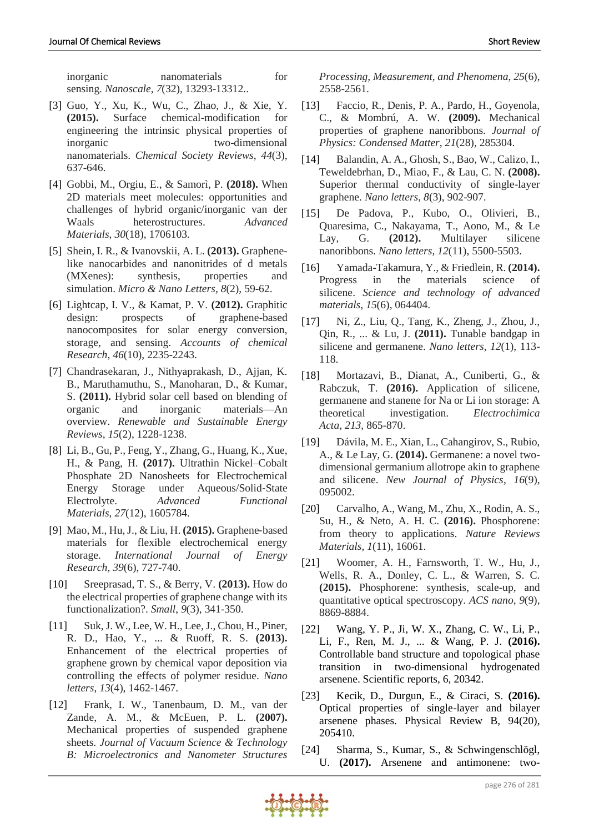- [3] Guo, Y., Xu, K., Wu, C., Zhao, J., & Xie, Y. **(2015).** Surface chemical-modification for engineering the intrinsic physical properties of inorganic two-dimensional nanomaterials. *Chemical Society Reviews*, *44*(3), 637-646.
- [4] Gobbi, M., Orgiu, E., & Samorì, P. **(2018).** When 2D materials meet molecules: opportunities and challenges of hybrid organic/inorganic van der Waals heterostructures. *Advanced Materials*, *30*(18), 1706103.
- [5] Shein, I. R., & Ivanovskii, A. L. **(2013).** Graphenelike nanocarbides and nanonitrides of d metals (MXenes): synthesis, properties and simulation. *Micro & Nano Letters*, *8*(2), 59-62.
- [6] Lightcap, I. V., & Kamat, P. V. **(2012).** Graphitic design: prospects of graphene-based nanocomposites for solar energy conversion, storage, and sensing. *Accounts of chemical Research*, *46*(10), 2235-2243.
- [7] Chandrasekaran, J., Nithyaprakash, D., Ajjan, K. B., Maruthamuthu, S., Manoharan, D., & Kumar, S. **(2011).** Hybrid solar cell based on blending of organic and inorganic materials—An overview. *Renewable and Sustainable Energy Reviews*, *15*(2), 1228-1238.
- [8] Li, B., Gu, P., Feng, Y., Zhang, G., Huang, K., Xue, H., & Pang, H. **(2017).** Ultrathin Nickel–Cobalt Phosphate 2D Nanosheets for Electrochemical Energy Storage under Aqueous/Solid‐State Electrolyte. *Advanced Functional Materials*, *27*(12), 1605784.
- [9] Mao, M., Hu, J., & Liu, H. **(2015).** Graphene‐based materials for flexible electrochemical energy storage. *International Journal of Energy Research*, *39*(6), 727-740.
- [10] Sreeprasad, T. S., & Berry, V. **(2013).** How do the electrical properties of graphene change with its functionalization?. *Small*, *9*(3), 341-350.
- [11] Suk, J. W., Lee, W. H., Lee, J., Chou, H., Piner, R. D., Hao, Y., ... & Ruoff, R. S. **(2013).** Enhancement of the electrical properties of graphene grown by chemical vapor deposition via controlling the effects of polymer residue. *Nano letters*, *13*(4), 1462-1467.
- [12] Frank, I. W., Tanenbaum, D. M., van der Zande, A. M., & McEuen, P. L. **(2007).** Mechanical properties of suspended graphene sheets. *Journal of Vacuum Science & Technology B: Microelectronics and Nanometer Structures*

*Processing, Measurement, and Phenomena*, *25*(6), 2558-2561.

- [13] Faccio, R., Denis, P. A., Pardo, H., Goyenola, C., & Mombrú, A. W. **(2009).** Mechanical properties of graphene nanoribbons. *Journal of Physics: Condensed Matter*, *21*(28), 285304.
- [14] Balandin, A. A., Ghosh, S., Bao, W., Calizo, I., Teweldebrhan, D., Miao, F., & Lau, C. N. **(2008).** Superior thermal conductivity of single-layer graphene. *Nano letters*, *8*(3), 902-907.
- [15] De Padova, P., Kubo, O., Olivieri, B., Quaresima, C., Nakayama, T., Aono, M., & Le Lay, G. **(2012).** Multilayer silicene nanoribbons. *Nano letters*, *12*(11), 5500-5503.
- [16] Yamada-Takamura, Y., & Friedlein, R. **(2014).** Progress in the materials science of silicene. *Science and technology of advanced materials*, *15*(6), 064404.
- [17] Ni, Z., Liu, Q., Tang, K., Zheng, J., Zhou, J., Qin, R., ... & Lu, J. **(2011).** Tunable bandgap in silicene and germanene. *Nano letters*, *12*(1), 113- 118.
- [18] Mortazavi, B., Dianat, A., Cuniberti, G., & Rabczuk, T. **(2016).** Application of silicene, germanene and stanene for Na or Li ion storage: A theoretical investigation. *Electrochimica Acta*, *213*, 865-870.
- [19] Dávila, M. E., Xian, L., Cahangirov, S., Rubio, A., & Le Lay, G. **(2014).** Germanene: a novel twodimensional germanium allotrope akin to graphene and silicene. *New Journal of Physics*, *16*(9), 095002.
- [20] Carvalho, A., Wang, M., Zhu, X., Rodin, A. S., Su, H., & Neto, A. H. C. **(2016).** Phosphorene: from theory to applications. *Nature Reviews Materials*, *1*(11), 16061.
- [21] Woomer, A. H., Farnsworth, T. W., Hu, J., Wells, R. A., Donley, C. L., & Warren, S. C. **(2015).** Phosphorene: synthesis, scale-up, and quantitative optical spectroscopy. *ACS nano*, *9*(9), 8869-8884.
- [22] Wang, Y. P., Ji, W. X., Zhang, C. W., Li, P., Li, F., Ren, M. J., ... & Wang, P. J. **(2016).** Controllable band structure and topological phase transition in two-dimensional hydrogenated arsenene. Scientific reports, 6, 20342.
- [23] Kecik, D., Durgun, E., & Ciraci, S. **(2016).** Optical properties of single-layer and bilayer arsenene phases. Physical Review B, 94(20), 205410.
- [24] Sharma, S., Kumar, S., & Schwingenschlögl, U. **(2017).** Arsenene and antimonene: two-

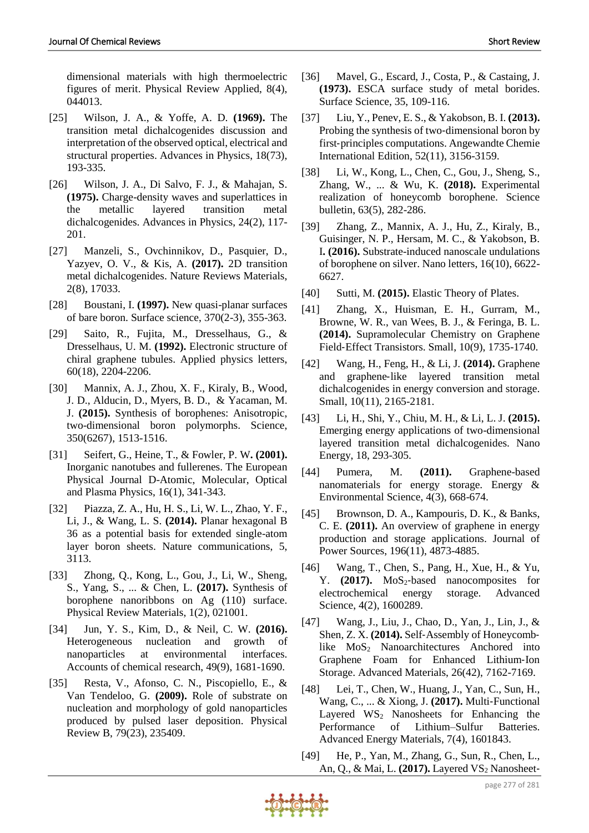dimensional materials with high thermoelectric figures of merit. Physical Review Applied, 8(4), 044013.

- [25] Wilson, J. A., & Yoffe, A. D. **(1969).** The transition metal dichalcogenides discussion and interpretation of the observed optical, electrical and structural properties. Advances in Physics, 18(73), 193-335.
- [26] Wilson, J. A., Di Salvo, F. J., & Mahajan, S. **(1975).** Charge-density waves and superlattices in the metallic layered transition metal dichalcogenides. Advances in Physics, 24(2), 117- 201.
- [27] Manzeli, S., Ovchinnikov, D., Pasquier, D., Yazyev, O. V., & Kis, A. **(2017).** 2D transition metal dichalcogenides. Nature Reviews Materials, 2(8), 17033.
- [28] Boustani, I. **(1997).** New quasi-planar surfaces of bare boron. Surface science, 370(2-3), 355-363.
- [29] Saito, R., Fujita, M., Dresselhaus, G., & Dresselhaus, U. M. **(1992).** Electronic structure of chiral graphene tubules. Applied physics letters, 60(18), 2204-2206.
- [30] Mannix, A. J., Zhou, X. F., Kiraly, B., Wood, J. D., Alducin, D., Myers, B. D., & Yacaman, M. J. **(2015).** Synthesis of borophenes: Anisotropic, two-dimensional boron polymorphs. Science, 350(6267), 1513-1516.
- [31] Seifert, G., Heine, T., & Fowler, P. W**. (2001).** Inorganic nanotubes and fullerenes. The European Physical Journal D-Atomic, Molecular, Optical and Plasma Physics, 16(1), 341-343.
- [32] Piazza, Z. A., Hu, H. S., Li, W. L., Zhao, Y. F., Li, J., & Wang, L. S. **(2014).** Planar hexagonal B 36 as a potential basis for extended single-atom layer boron sheets. Nature communications, 5, 3113.
- [33] Zhong, Q., Kong, L., Gou, J., Li, W., Sheng, S., Yang, S., ... & Chen, L. **(2017).** Synthesis of borophene nanoribbons on Ag (110) surface. Physical Review Materials, 1(2), 021001.
- [34] Jun, Y. S., Kim, D., & Neil, C. W. **(2016).** Heterogeneous nucleation and growth of nanoparticles at environmental interfaces. Accounts of chemical research, 49(9), 1681-1690.
- [35] Resta, V., Afonso, C. N., Piscopiello, E., & Van Tendeloo, G. **(2009).** Role of substrate on nucleation and morphology of gold nanoparticles produced by pulsed laser deposition. Physical Review B, 79(23), 235409.
- [36] Mavel, G., Escard, J., Costa, P., & Castaing, J. **(1973).** ESCA surface study of metal borides. Surface Science, 35, 109-116.
- [37] Liu, Y., Penev, E. S., & Yakobson, B. I. **(2013).** Probing the synthesis of two-dimensional boron by first‐principles computations. Angewandte Chemie International Edition, 52(11), 3156-3159.
- [38] Li, W., Kong, L., Chen, C., Gou, J., Sheng, S., Zhang, W., ... & Wu, K. **(2018).** Experimental realization of honeycomb borophene. Science bulletin, 63(5), 282-286.
- [39] Zhang, Z., Mannix, A. J., Hu, Z., Kiraly, B., Guisinger, N. P., Hersam, M. C., & Yakobson, B. I**. (2016).** Substrate-induced nanoscale undulations of borophene on silver. Nano letters, 16(10), 6622- 6627.
- [40] Sutti, M. **(2015).** Elastic Theory of Plates.
- [41] Zhang, X., Huisman, E. H., Gurram, M., Browne, W. R., van Wees, B. J., & Feringa, B. L. **(2014).** Supramolecular Chemistry on Graphene Field‐Effect Transistors. Small, 10(9), 1735-1740.
- [42] Wang, H., Feng, H., & Li, J. **(2014).** Graphene and graphene‐like layered transition metal dichalcogenides in energy conversion and storage. Small, 10(11), 2165-2181.
- [43] Li, H., Shi, Y., Chiu, M. H., & Li, L. J. **(2015).** Emerging energy applications of two-dimensional layered transition metal dichalcogenides. Nano Energy, 18, 293-305.
- [44] Pumera, M. **(2011).** Graphene-based nanomaterials for energy storage. Energy & Environmental Science, 4(3), 668-674.
- [45] Brownson, D. A., Kampouris, D. K., & Banks, C. E. **(2011).** An overview of graphene in energy production and storage applications. Journal of Power Sources, 196(11), 4873-4885.
- [46] Wang, T., Chen, S., Pang, H., Xue, H., & Yu, Y. **(2017).** MoS<sub>2</sub>-based nanocomposites for electrochemical energy storage. Advanced Science, 4(2), 1600289.
- [47] Wang, J., Liu, J., Chao, D., Yan, J., Lin, J., & Shen, Z. X. **(2014).** Self-Assembly of Honeycomblike MoS<sub>2</sub> Nanoarchitectures Anchored into Graphene Foam for Enhanced Lithium‐Ion Storage. Advanced Materials, 26(42), 7162-7169.
- [48] Lei, T., Chen, W., Huang, J., Yan, C., Sun, H., Wang, C., ... & Xiong, J. **(2017).** Multi‐Functional Layered  $WS_2$  Nanosheets for Enhancing the Performance of Lithium–Sulfur Batteries. Advanced Energy Materials, 7(4), 1601843.
- [49] He, P., Yan, M., Zhang, G., Sun, R., Chen, L., An, Q., & Mai, L. (2017). Layered VS<sub>2</sub> Nanosheet-

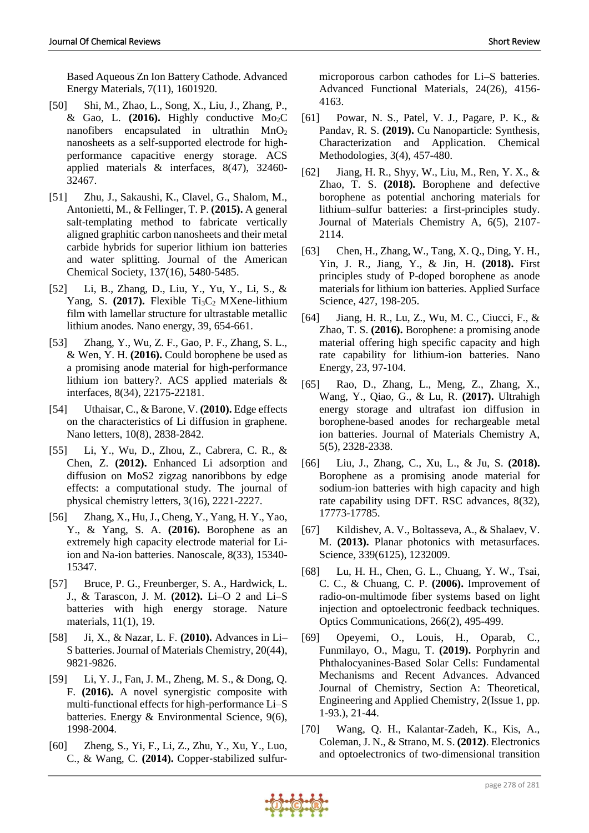Based Aqueous Zn Ion Battery Cathode. Advanced Energy Materials, 7(11), 1601920.

- [50] Shi, M., Zhao, L., Song, X., Liu, J., Zhang, P., & Gao, L. **(2016).** Highly conductive Mo2C nanofibers encapsulated in ultrathin  $MnO<sub>2</sub>$ nanosheets as a self-supported electrode for highperformance capacitive energy storage. ACS applied materials & interfaces, 8(47), 32460- 32467.
- [51] Zhu, J., Sakaushi, K., Clavel, G., Shalom, M., Antonietti, M., & Fellinger, T. P. **(2015).** A general salt-templating method to fabricate vertically aligned graphitic carbon nanosheets and their metal carbide hybrids for superior lithium ion batteries and water splitting. Journal of the American Chemical Society, 137(16), 5480-5485.
- [52] Li, B., Zhang, D., Liu, Y., Yu, Y., Li, S., & Yang, S.  $(2017)$ . Flexible Ti<sub>3</sub>C<sub>2</sub> MXene-lithium film with lamellar structure for ultrastable metallic lithium anodes. Nano energy, 39, 654-661.
- [53] Zhang, Y., Wu, Z. F., Gao, P. F., Zhang, S. L., & Wen, Y. H. **(2016).** Could borophene be used as a promising anode material for high-performance lithium ion battery?. ACS applied materials & interfaces, 8(34), 22175-22181.
- [54] Uthaisar, C., & Barone, V. **(2010).** Edge effects on the characteristics of Li diffusion in graphene. Nano letters, 10(8), 2838-2842.
- [55] Li, Y., Wu, D., Zhou, Z., Cabrera, C. R., & Chen, Z. **(2012).** Enhanced Li adsorption and diffusion on MoS2 zigzag nanoribbons by edge effects: a computational study. The journal of physical chemistry letters, 3(16), 2221-2227.
- [56] Zhang, X., Hu, J., Cheng, Y., Yang, H. Y., Yao, Y., & Yang, S. A. **(2016).** Borophene as an extremely high capacity electrode material for Liion and Na-ion batteries. Nanoscale, 8(33), 15340- 15347.
- [57] Bruce, P. G., Freunberger, S. A., Hardwick, L. J., & Tarascon, J. M. **(2012).** Li–O 2 and Li–S batteries with high energy storage. Nature materials, 11(1), 19.
- [58] Ji, X., & Nazar, L. F. **(2010).** Advances in Li– S batteries. Journal of Materials Chemistry, 20(44), 9821-9826.
- [59] Li, Y. J., Fan, J. M., Zheng, M. S., & Dong, Q. F. **(2016).** A novel synergistic composite with multi-functional effects for high-performance Li–S batteries. Energy & Environmental Science, 9(6), 1998-2004.
- [60] Zheng, S., Yi, F., Li, Z., Zhu, Y., Xu, Y., Luo, C., & Wang, C. **(2014).** Copper‐stabilized sulfur‐

microporous carbon cathodes for Li–S batteries. Advanced Functional Materials, 24(26), 4156- 4163.

- [61] Powar, N. S., Patel, V. J., Pagare, P. K., & Pandav, R. S. **(2019).** Cu Nanoparticle: Synthesis, Characterization and Application. Chemical Methodologies, 3(4), 457-480.
- [62] Jiang, H. R., Shyy, W., Liu, M., Ren, Y. X., & Zhao, T. S. **(2018).** Borophene and defective borophene as potential anchoring materials for lithium–sulfur batteries: a first-principles study. Journal of Materials Chemistry A, 6(5), 2107- 2114.
- [63] Chen, H., Zhang, W., Tang, X. Q., Ding, Y. H., Yin, J. R., Jiang, Y., & Jin, H. **(2018).** First principles study of P-doped borophene as anode materials for lithium ion batteries. Applied Surface Science, 427, 198-205.
- [64] Jiang, H. R., Lu, Z., Wu, M. C., Ciucci, F., & Zhao, T. S. **(2016).** Borophene: a promising anode material offering high specific capacity and high rate capability for lithium-ion batteries. Nano Energy, 23, 97-104.
- [65] Rao, D., Zhang, L., Meng, Z., Zhang, X., Wang, Y., Qiao, G., & Lu, R. **(2017).** Ultrahigh energy storage and ultrafast ion diffusion in borophene-based anodes for rechargeable metal ion batteries. Journal of Materials Chemistry A, 5(5), 2328-2338.
- [66] Liu, J., Zhang, C., Xu, L., & Ju, S. **(2018).** Borophene as a promising anode material for sodium-ion batteries with high capacity and high rate capability using DFT. RSC advances, 8(32), 17773-17785.
- [67] Kildishev, A. V., Boltasseva, A., & Shalaev, V. M. **(2013).** Planar photonics with metasurfaces. Science, 339(6125), 1232009.
- [68] Lu, H. H., Chen, G. L., Chuang, Y. W., Tsai, C. C., & Chuang, C. P. **(2006).** Improvement of radio-on-multimode fiber systems based on light injection and optoelectronic feedback techniques. Optics Communications, 266(2), 495-499.
- [69] Opeyemi, O., Louis, H., Oparab, C., Funmilayo, O., Magu, T. **(2019).** Porphyrin and Phthalocyanines-Based Solar Cells: Fundamental Mechanisms and Recent Advances. Advanced Journal of Chemistry, Section A: Theoretical, Engineering and Applied Chemistry, 2(Issue 1, pp. 1-93.), 21-44.
- [70] Wang, Q. H., Kalantar-Zadeh, K., Kis, A., Coleman, J. N., & Strano, M. S. **(2012)**. Electronics and optoelectronics of two-dimensional transition

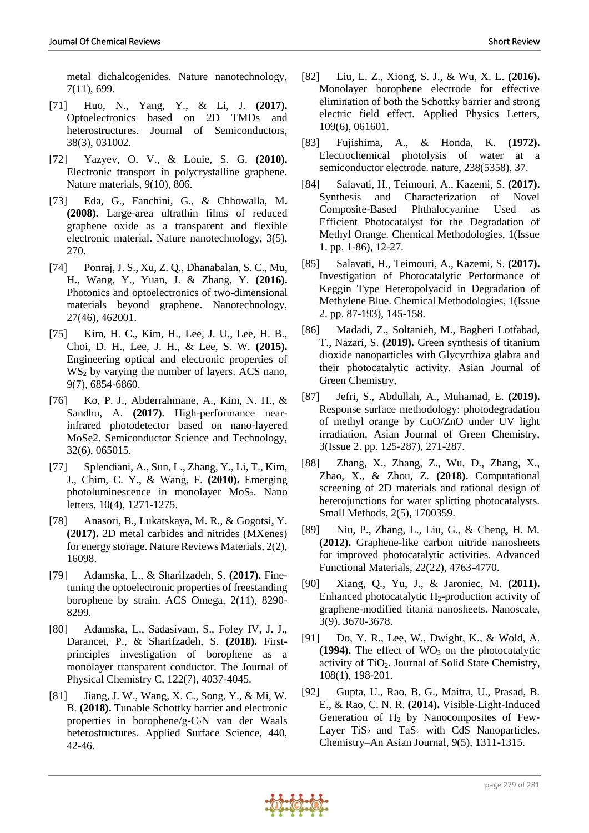metal dichalcogenides. Nature nanotechnology, 7(11), 699.

- [71] Huo, N., Yang, Y., & Li, J. **(2017).** Optoelectronics based on 2D TMDs and heterostructures. Journal of Semiconductors, 38(3), 031002.
- [72] Yazyev, O. V., & Louie, S. G. **(2010).** Electronic transport in polycrystalline graphene. Nature materials, 9(10), 806.
- [73] Eda, G., Fanchini, G., & Chhowalla, M**. (2008).** Large-area ultrathin films of reduced graphene oxide as a transparent and flexible electronic material. Nature nanotechnology, 3(5), 270.
- [74] Ponraj, J. S., Xu, Z. Q., Dhanabalan, S. C., Mu, H., Wang, Y., Yuan, J. & Zhang, Y. **(2016).** Photonics and optoelectronics of two-dimensional materials beyond graphene. Nanotechnology, 27(46), 462001.
- [75] Kim, H. C., Kim, H., Lee, J. U., Lee, H. B., Choi, D. H., Lee, J. H., & Lee, S. W. **(2015).** Engineering optical and electronic properties of  $WS<sub>2</sub>$  by varying the number of layers. ACS nano, 9(7), 6854-6860.
- [76] Ko, P. J., Abderrahmane, A., Kim, N. H., & Sandhu, A. **(2017).** High-performance nearinfrared photodetector based on nano-layered MoSe2. Semiconductor Science and Technology, 32(6), 065015.
- [77] Splendiani, A., Sun, L., Zhang, Y., Li, T., Kim, J., Chim, C. Y., & Wang, F. **(2010).** Emerging photoluminescence in monolayer MoS<sub>2</sub>. Nano letters, 10(4), 1271-1275.
- [78] Anasori, B., Lukatskaya, M. R., & Gogotsi, Y. **(2017).** 2D metal carbides and nitrides (MXenes) for energy storage. Nature Reviews Materials, 2(2), 16098.
- [79] Adamska, L., & Sharifzadeh, S. **(2017).** Finetuning the optoelectronic properties of freestanding borophene by strain. ACS Omega, 2(11), 8290- 8299.
- [80] Adamska, L., Sadasivam, S., Foley IV, J. J., Darancet, P., & Sharifzadeh, S. **(2018).** Firstprinciples investigation of borophene as a monolayer transparent conductor. The Journal of Physical Chemistry C, 122(7), 4037-4045.
- [81] Jiang, J. W., Wang, X. C., Song, Y., & Mi, W. B. **(2018).** Tunable Schottky barrier and electronic properties in borophene/g- $C_2N$  van der Waals heterostructures. Applied Surface Science, 440, 42-46.
- [82] Liu, L. Z., Xiong, S. J., & Wu, X. L. **(2016).** Monolayer borophene electrode for effective elimination of both the Schottky barrier and strong electric field effect. Applied Physics Letters, 109(6), 061601.
- [83] Fujishima, A., & Honda, K. **(1972).** Electrochemical photolysis of water at a semiconductor electrode. nature, 238(5358), 37.
- [84] Salavati, H., Teimouri, A., Kazemi, S. **(2017).** Synthesis and Characterization of Novel Composite-Based Phthalocyanine Used as Efficient Photocatalyst for the Degradation of Methyl Orange. Chemical Methodologies, 1(Issue 1. pp. 1-86), 12-27.
- [85] Salavati, H., Teimouri, A., Kazemi, S. **(2017).** Investigation of Photocatalytic Performance of Keggin Type Heteropolyacid in Degradation of Methylene Blue. Chemical Methodologies, 1(Issue 2. pp. 87-193), 145-158.
- [86] Madadi, Z., Soltanieh, M., Bagheri Lotfabad, T., Nazari, S. **(2019).** Green synthesis of titanium dioxide nanoparticles with Glycyrrhiza glabra and their photocatalytic activity. Asian Journal of Green Chemistry,
- [87] Jefri, S., Abdullah, A., Muhamad, E. **(2019).** Response surface methodology: photodegradation of methyl orange by CuO/ZnO under UV light irradiation. Asian Journal of Green Chemistry, 3(Issue 2. pp. 125-287), 271-287.
- [88] Zhang, X., Zhang, Z., Wu, D., Zhang, X., Zhao, X., & Zhou, Z. **(2018).** Computational screening of 2D materials and rational design of heterojunctions for water splitting photocatalysts. Small Methods, 2(5), 1700359.
- [89] Niu, P., Zhang, L., Liu, G., & Cheng, H. M. **(2012).** Graphene‐like carbon nitride nanosheets for improved photocatalytic activities. Advanced Functional Materials, 22(22), 4763-4770.
- [90] Xiang, Q., Yu, J., & Jaroniec, M. **(2011).** Enhanced photocatalytic  $H_2$ -production activity of graphene-modified titania nanosheets. Nanoscale, 3(9), 3670-3678.
- [91] Do, Y. R., Lee, W., Dwight, K., & Wold, A.  $(1994)$ . The effect of  $WO<sub>3</sub>$  on the photocatalytic activity of TiO2. Journal of Solid State Chemistry, 108(1), 198-201.
- [92] Gupta, U., Rao, B. G., Maitra, U., Prasad, B. E., & Rao, C. N. R. **(2014).** Visible‐Light‐Induced Generation of  $H_2$  by Nanocomposites of Few-Layer  $TiS_2$  and  $TaS_2$  with CdS Nanoparticles. Chemistry–An Asian Journal, 9(5), 1311-1315.

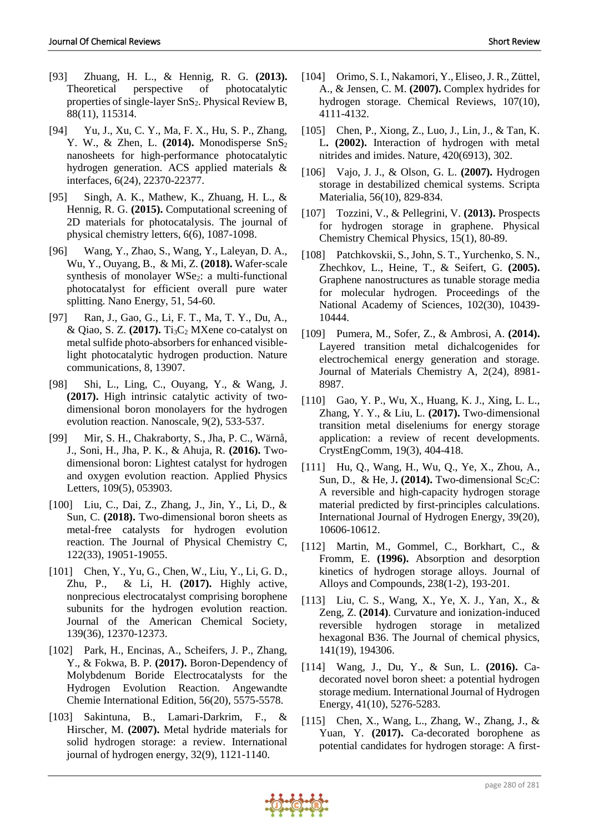- [93] Zhuang, H. L., & Hennig, R. G. **(2013).** Theoretical perspective of photocatalytic properties of single-layer SnS<sub>2</sub>. Physical Review B, 88(11), 115314.
- [94] Yu, J., Xu, C. Y., Ma, F. X., Hu, S. P., Zhang, Y. W., & Zhen, L. (2014). Monodisperse SnS<sub>2</sub> nanosheets for high-performance photocatalytic hydrogen generation. ACS applied materials & interfaces, 6(24), 22370-22377.
- [95] Singh, A. K., Mathew, K., Zhuang, H. L., & Hennig, R. G. **(2015).** Computational screening of 2D materials for photocatalysis. The journal of physical chemistry letters, 6(6), 1087-1098.
- [96] Wang, Y., Zhao, S., Wang, Y., Laleyan, D. A., Wu, Y., Ouyang, B., & Mi, Z. **(2018).** Wafer-scale synthesis of monolayer WSe<sub>2</sub>: a multi-functional photocatalyst for efficient overall pure water splitting. Nano Energy, 51, 54-60.
- [97] Ran, J., Gao, G., Li, F. T., Ma, T. Y., Du, A., & Qiao, S. Z. **(2017).** Ti3C<sup>2</sup> MXene co-catalyst on metal sulfide photo-absorbers for enhanced visiblelight photocatalytic hydrogen production. Nature communications, 8, 13907.
- [98] Shi, L., Ling, C., Ouyang, Y., & Wang, J. **(2017).** High intrinsic catalytic activity of twodimensional boron monolayers for the hydrogen evolution reaction. Nanoscale, 9(2), 533-537.
- [99] Mir, S. H., Chakraborty, S., Jha, P. C., Wärnå, J., Soni, H., Jha, P. K., & Ahuja, R. **(2016).** Twodimensional boron: Lightest catalyst for hydrogen and oxygen evolution reaction. Applied Physics Letters, 109(5), 053903.
- [100] Liu, C., Dai, Z., Zhang, J., Jin, Y., Li, D., & Sun, C. **(2018).** Two-dimensional boron sheets as metal-free catalysts for hydrogen evolution reaction. The Journal of Physical Chemistry C, 122(33), 19051-19055.
- [101] Chen, Y., Yu, G., Chen, W., Liu, Y., Li, G. D., Zhu, P., & Li, H. **(2017).** Highly active, nonprecious electrocatalyst comprising borophene subunits for the hydrogen evolution reaction. Journal of the American Chemical Society, 139(36), 12370-12373.
- [102] Park, H., Encinas, A., Scheifers, J. P., Zhang, Y., & Fokwa, B. P. **(2017).** Boron‐Dependency of Molybdenum Boride Electrocatalysts for the Hydrogen Evolution Reaction. Angewandte Chemie International Edition, 56(20), 5575-5578.
- [103] Sakintuna, B., Lamari-Darkrim, F., & Hirscher, M. **(2007).** Metal hydride materials for solid hydrogen storage: a review. International journal of hydrogen energy, 32(9), 1121-1140.
- [104] Orimo, S. I., Nakamori, Y., Eliseo, J. R., Züttel, A., & Jensen, C. M. **(2007).** Complex hydrides for hydrogen storage. Chemical Reviews, 107(10), 4111-4132.
- [105] Chen, P., Xiong, Z., Luo, J., Lin, J., & Tan, K. L**. (2002).** Interaction of hydrogen with metal nitrides and imides. Nature, 420(6913), 302.
- [106] Vajo, J. J., & Olson, G. L. **(2007).** Hydrogen storage in destabilized chemical systems. Scripta Materialia, 56(10), 829-834.
- [107] Tozzini, V., & Pellegrini, V. **(2013).** Prospects for hydrogen storage in graphene. Physical Chemistry Chemical Physics, 15(1), 80-89.
- [108] Patchkovskii, S., John, S. T., Yurchenko, S. N., Zhechkov, L., Heine, T., & Seifert, G. **(2005).** Graphene nanostructures as tunable storage media for molecular hydrogen. Proceedings of the National Academy of Sciences, 102(30), 10439- 10444.
- [109] Pumera, M., Sofer, Z., & Ambrosi, A. **(2014).** Layered transition metal dichalcogenides for electrochemical energy generation and storage. Journal of Materials Chemistry A, 2(24), 8981- 8987.
- [110] Gao, Y. P., Wu, X., Huang, K. J., Xing, L. L., Zhang, Y. Y., & Liu, L. **(2017).** Two-dimensional transition metal diseleniums for energy storage application: a review of recent developments. CrystEngComm, 19(3), 404-418.
- [111] Hu, Q., Wang, H., Wu, Q., Ye, X., Zhou, A., Sun, D., & He, J. (2014). Two-dimensional Sc<sub>2</sub>C: A reversible and high-capacity hydrogen storage material predicted by first-principles calculations. International Journal of Hydrogen Energy, 39(20), 10606-10612.
- [112] Martin, M., Gommel, C., Borkhart, C., & Fromm, E. **(1996).** Absorption and desorption kinetics of hydrogen storage alloys. Journal of Alloys and Compounds, 238(1-2), 193-201.
- [113] Liu, C. S., Wang, X., Ye, X. J., Yan, X., & Zeng, Z. **(2014)**. Curvature and ionization-induced reversible hydrogen storage in metalized hexagonal B36. The Journal of chemical physics, 141(19), 194306.
- [114] Wang, J., Du, Y., & Sun, L. **(2016).** Cadecorated novel boron sheet: a potential hydrogen storage medium. International Journal of Hydrogen Energy, 41(10), 5276-5283.
- [115] Chen, X., Wang, L., Zhang, W., Zhang, J., & Yuan, Y. **(2017).** Ca-decorated borophene as potential candidates for hydrogen storage: A first-